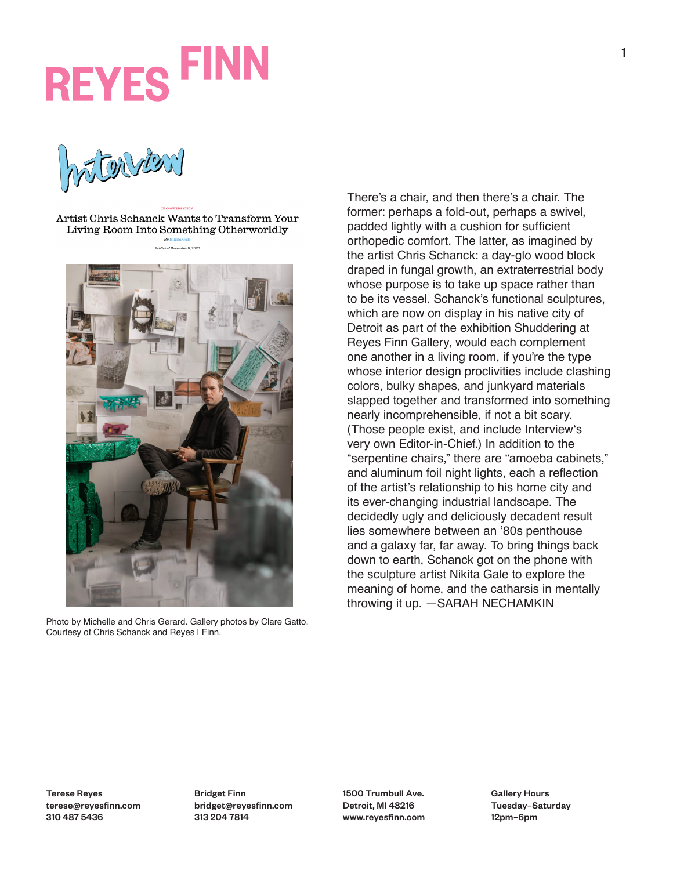WENNEN

Artist Chris Schanck Wants to Transform Your Living Room Into Something Otherworldly



Photo by Michelle and Chris Gerard. Gallery photos by Clare Gatto. Courtesy of Chris Schanck and Reyes | Finn.

There's a chair, and then there's a chair. The former: perhaps a fold-out, perhaps a swivel, padded lightly with a cushion for sufficient orthopedic comfort. The latter, as imagined by the artist Chris Schanck: a day-glo wood block draped in fungal growth, an extraterrestrial body whose purpose is to take up space rather than to be its vessel. Schanck's functional sculptures, which are now on display in his native city of Detroit as part of the exhibition Shuddering at Reyes Finn Gallery, would each complement one another in a living room, if you're the type whose interior design proclivities include clashing colors, bulky shapes, and junkyard materials slapped together and transformed into something nearly incomprehensible, if not a bit scary. (Those people exist, and include Interview's very own Editor-in-Chief.) In addition to the "serpentine chairs," there are "amoeba cabinets," and aluminum foil night lights, each a reflection of the artist's relationship to his home city and its ever-changing industrial landscape. The decidedly ugly and deliciously decadent result lies somewhere between an '80s penthouse and a galaxy far, far away. To bring things back down to earth, Schanck got on the phone with the sculpture artist Nikita Gale to explore the meaning of home, and the catharsis in mentally throwing it up. —SARAH NECHAMKIN

Bridget Finn bridget@reyesfinn.com 313 204 7814

1500 Trumbull Ave. Detroit, MI 48216 www.reyesfinn.com Gallery Hours Tuesday–Saturday 12pm–6pm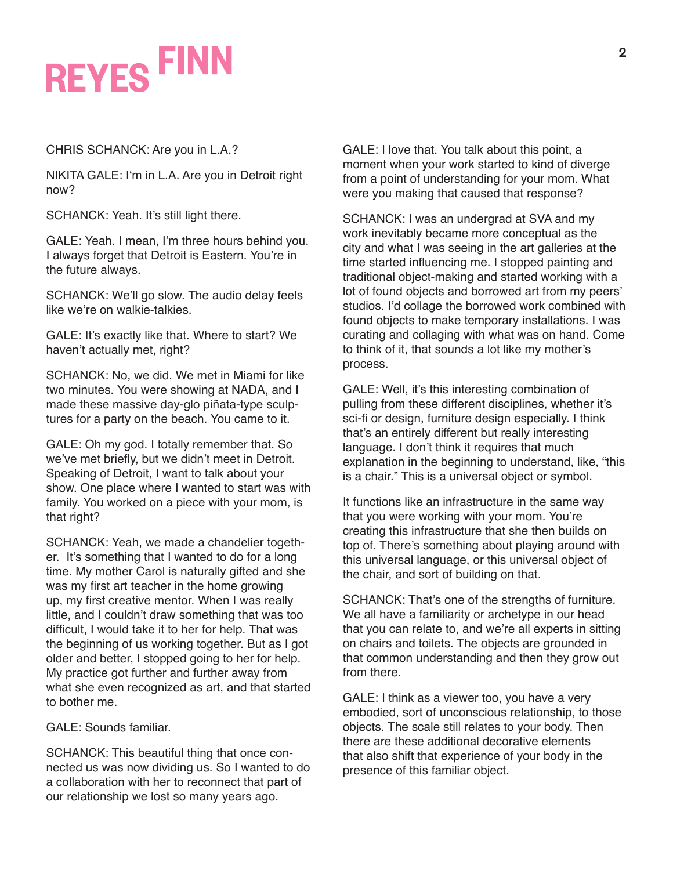CHRIS SCHANCK: Are you in L.A.?

NIKITA GALE: I'm in L.A. Are you in Detroit right now?

SCHANCK: Yeah. It's still light there.

GALE: Yeah. I mean, I'm three hours behind you. I always forget that Detroit is Eastern. You're in the future always.

SCHANCK: We'll go slow. The audio delay feels like we're on walkie-talkies.

GALE: It's exactly like that. Where to start? We haven't actually met, right?

SCHANCK: No, we did. We met in Miami for like two minutes. You were showing at NADA, and I made these massive day-glo piñata-type sculptures for a party on the beach. You came to it.

GALE: Oh my god. I totally remember that. So we've met briefly, but we didn't meet in Detroit. Speaking of Detroit, I want to talk about your show. One place where I wanted to start was with family. You worked on a piece with your mom, is that right?

SCHANCK: Yeah, we made a chandelier together. It's something that I wanted to do for a long time. My mother Carol is naturally gifted and she was my first art teacher in the home growing up, my first creative mentor. When I was really little, and I couldn't draw something that was too difficult, I would take it to her for help. That was the beginning of us working together. But as I got older and better, I stopped going to her for help. My practice got further and further away from what she even recognized as art, and that started to bother me.

GALE: Sounds familiar.

SCHANCK: This beautiful thing that once connected us was now dividing us. So I wanted to do a collaboration with her to reconnect that part of our relationship we lost so many years ago.

GALE: I love that. You talk about this point, a moment when your work started to kind of diverge from a point of understanding for your mom. What were you making that caused that response?

SCHANCK: I was an undergrad at SVA and my work inevitably became more conceptual as the city and what I was seeing in the art galleries at the time started influencing me. I stopped painting and traditional object-making and started working with a lot of found objects and borrowed art from my peers' studios. I'd collage the borrowed work combined with found objects to make temporary installations. I was curating and collaging with what was on hand. Come to think of it, that sounds a lot like my mother's process.

GALE: Well, it's this interesting combination of pulling from these different disciplines, whether it's sci-fi or design, furniture design especially. I think that's an entirely different but really interesting language. I don't think it requires that much explanation in the beginning to understand, like, "this is a chair." This is a universal object or symbol.

It functions like an infrastructure in the same way that you were working with your mom. You're creating this infrastructure that she then builds on top of. There's something about playing around with this universal language, or this universal object of the chair, and sort of building on that.

SCHANCK: That's one of the strengths of furniture. We all have a familiarity or archetype in our head that you can relate to, and we're all experts in sitting on chairs and toilets. The objects are grounded in that common understanding and then they grow out from there.

GALE: I think as a viewer too, you have a very embodied, sort of unconscious relationship, to those objects. The scale still relates to your body. Then there are these additional decorative elements that also shift that experience of your body in the presence of this familiar object.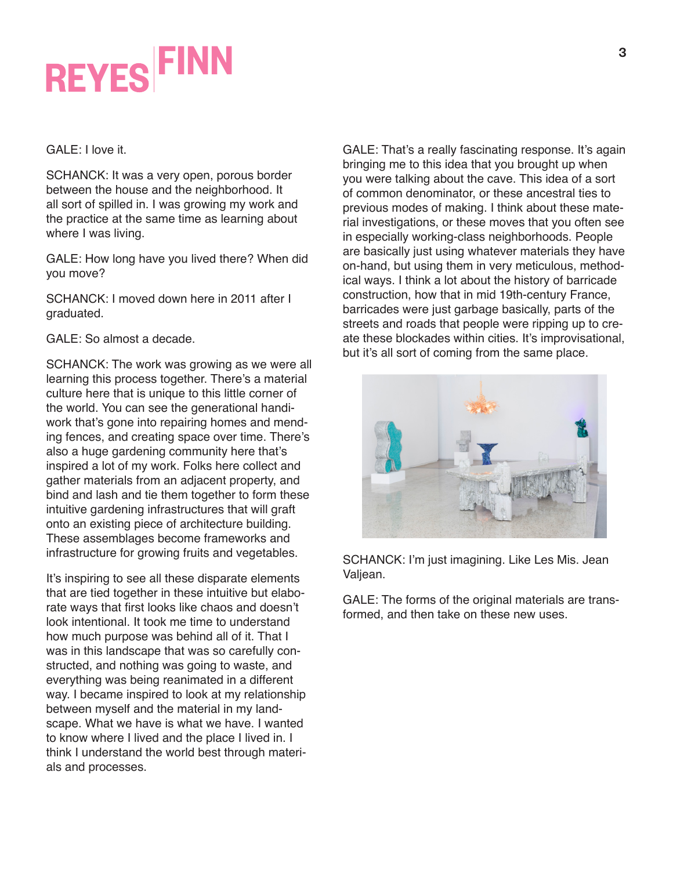GALE: I love it.

SCHANCK: It was a very open, porous border between the house and the neighborhood. It all sort of spilled in. I was growing my work and the practice at the same time as learning about where I was living.

GALE: How long have you lived there? When did you move?

SCHANCK: I moved down here in 2011 after I graduated.

GALE: So almost a decade.

SCHANCK: The work was growing as we were all learning this process together. There's a material culture here that is unique to this little corner of the world. You can see the generational handiwork that's gone into repairing homes and mending fences, and creating space over time. There's also a huge gardening community here that's inspired a lot of my work. Folks here collect and gather materials from an adjacent property, and bind and lash and tie them together to form these intuitive gardening infrastructures that will graft onto an existing piece of architecture building. These assemblages become frameworks and infrastructure for growing fruits and vegetables.

It's inspiring to see all these disparate elements that are tied together in these intuitive but elaborate ways that first looks like chaos and doesn't look intentional. It took me time to understand how much purpose was behind all of it. That I was in this landscape that was so carefully constructed, and nothing was going to waste, and everything was being reanimated in a different way. I became inspired to look at my relationship between myself and the material in my landscape. What we have is what we have. I wanted to know where I lived and the place I lived in. I think I understand the world best through materials and processes.

GALE: That's a really fascinating response. It's again bringing me to this idea that you brought up when you were talking about the cave. This idea of a sort of common denominator, or these ancestral ties to previous modes of making. I think about these material investigations, or these moves that you often see in especially working-class neighborhoods. People are basically just using whatever materials they have on-hand, but using them in very meticulous, methodical ways. I think a lot about the history of barricade construction, how that in mid 19th-century France, barricades were just garbage basically, parts of the streets and roads that people were ripping up to create these blockades within cities. It's improvisational, but it's all sort of coming from the same place.



SCHANCK: I'm just imagining. Like Les Mis. Jean Valjean.

GALE: The forms of the original materials are transformed, and then take on these new uses.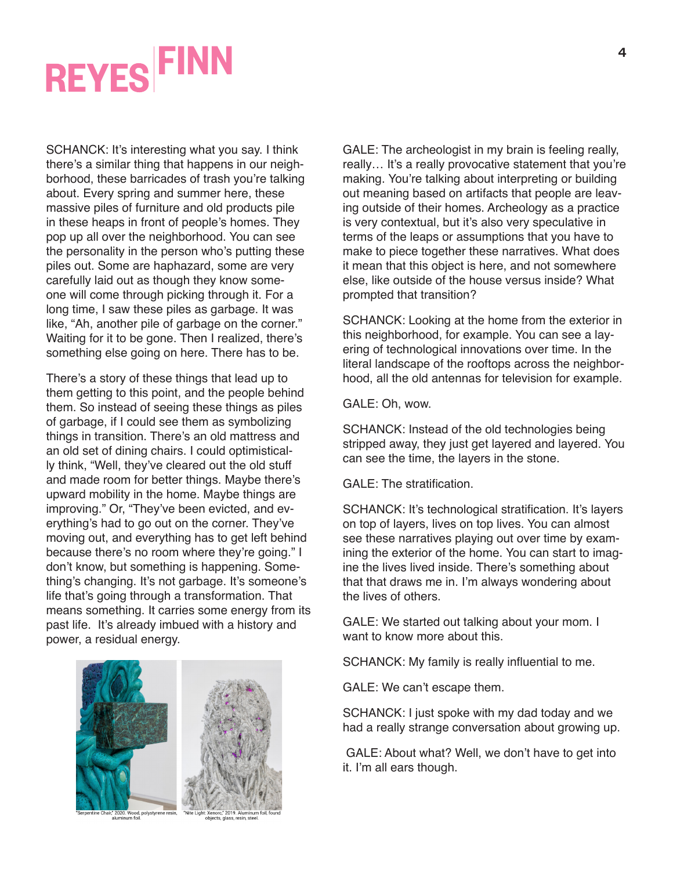SCHANCK: It's interesting what you say. I think there's a similar thing that happens in our neighborhood, these barricades of trash you're talking about. Every spring and summer here, these massive piles of furniture and old products pile in these heaps in front of people's homes. They pop up all over the neighborhood. You can see the personality in the person who's putting these piles out. Some are haphazard, some are very carefully laid out as though they know someone will come through picking through it. For a long time, I saw these piles as garbage. It was like, "Ah, another pile of garbage on the corner." Waiting for it to be gone. Then I realized, there's something else going on here. There has to be.

There's a story of these things that lead up to them getting to this point, and the people behind them. So instead of seeing these things as piles of garbage, if I could see them as symbolizing things in transition. There's an old mattress and an old set of dining chairs. I could optimistically think, "Well, they've cleared out the old stuff and made room for better things. Maybe there's upward mobility in the home. Maybe things are improving." Or, "They've been evicted, and everything's had to go out on the corner. They've moving out, and everything has to get left behind because there's no room where they're going." I don't know, but something is happening. Something's changing. It's not garbage. It's someone's life that's going through a transformation. That means something. It carries some energy from its past life. It's already imbued with a history and power, a residual energy.



' 2020. Wood, polystyrene resir<br>aluminum foil.

GALE: The archeologist in my brain is feeling really, really… It's a really provocative statement that you're making. You're talking about interpreting or building out meaning based on artifacts that people are leaving outside of their homes. Archeology as a practice is very contextual, but it's also very speculative in terms of the leaps or assumptions that you have to make to piece together these narratives. What does it mean that this object is here, and not somewhere else, like outside of the house versus inside? What prompted that transition?

SCHANCK: Looking at the home from the exterior in this neighborhood, for example. You can see a layering of technological innovations over time. In the literal landscape of the rooftops across the neighborhood, all the old antennas for television for example.

GALE: Oh, wow.

SCHANCK: Instead of the old technologies being stripped away, they just get layered and layered. You can see the time, the layers in the stone.

GALE: The stratification.

SCHANCK: It's technological stratification. It's layers on top of layers, lives on top lives. You can almost see these narratives playing out over time by examining the exterior of the home. You can start to imagine the lives lived inside. There's something about that that draws me in. I'm always wondering about the lives of others.

GALE: We started out talking about your mom. I want to know more about this.

SCHANCK: My family is really influential to me.

GALE: We can't escape them.

SCHANCK: I just spoke with my dad today and we had a really strange conversation about growing up.

 GALE: About what? Well, we don't have to get into it. I'm all ears though.